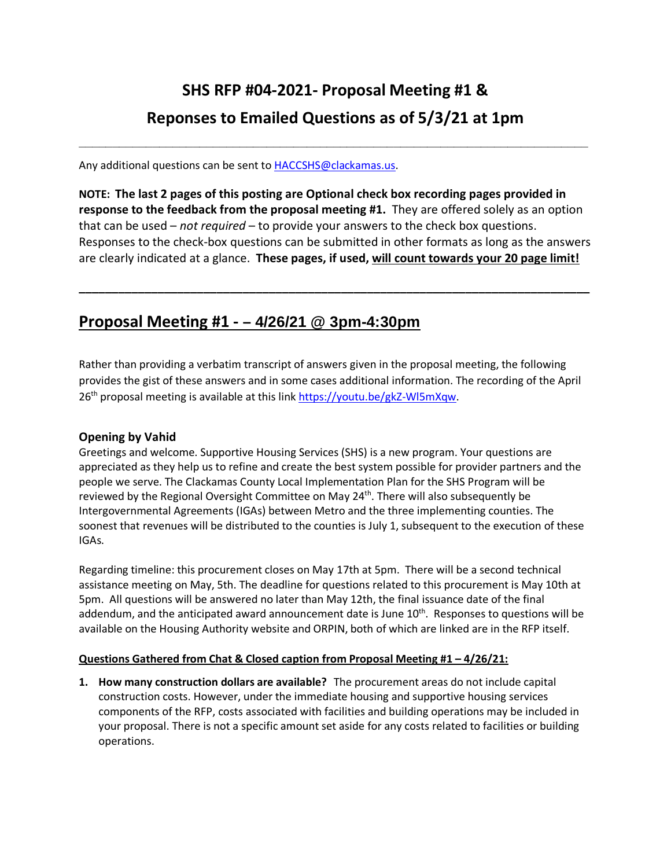# **SHS RFP #04-2021- Proposal Meeting #1 & Reponses to Emailed Questions as of 5/3/21 at 1pm**

**\_\_\_\_\_\_\_\_\_\_\_\_\_\_\_\_\_\_\_\_\_\_\_\_\_\_\_\_\_\_\_\_\_\_\_\_\_\_\_\_\_\_\_\_\_\_\_\_\_\_\_\_\_\_\_\_\_\_\_\_\_\_\_\_\_\_\_\_\_\_\_\_\_\_\_\_**

Any additional questions can be sent to [HACCSHS@clackamas.us.](mailto:HACCSHS@clackamas.us)

**NOTE: The last 2 pages of this posting are Optional check box recording pages provided in response to the feedback from the proposal meeting #1.** They are offered solely as an option that can be used – *not required* – to provide your answers to the check box questions. Responses to the check-box questions can be submitted in other formats as long as the answers are clearly indicated at a glance. **These pages, if used, will count towards your 20 page limit!** 

**\_\_\_\_\_\_\_\_\_\_\_\_\_\_\_\_\_\_\_\_\_\_\_\_\_\_\_\_\_\_\_\_\_\_\_\_\_\_\_\_\_\_\_\_\_\_\_\_\_\_\_\_\_\_\_\_\_\_\_\_\_\_\_\_\_\_\_\_\_\_\_\_\_\_\_\_\_\_**

### **Proposal Meeting #1 - – 4/26/21 @ 3pm-4:30pm**

Rather than providing a verbatim transcript of answers given in the proposal meeting, the following provides the gist of these answers and in some cases additional information. The recording of the April 26th proposal meeting is available at this lin[k https://youtu.be/gkZ-Wl5mXqw.](https://youtu.be/gkZ-Wl5mXqw)

#### **Opening by Vahid**

Greetings and welcome. Supportive Housing Services (SHS) is a new program. Your questions are appreciated as they help us to refine and create the best system possible for provider partners and the people we serve. The Clackamas County Local Implementation Plan for the SHS Program will be reviewed by the Regional Oversight Committee on May 24<sup>th</sup>. There will also subsequently be Intergovernmental Agreements (IGAs) between Metro and the three implementing counties. The soonest that revenues will be distributed to the counties is July 1, subsequent to the execution of these IGAs.

Regarding timeline: this procurement closes on May 17th at 5pm. There will be a second technical assistance meeting on May, 5th. The deadline for questions related to this procurement is May 10th at 5pm. All questions will be answered no later than May 12th, the final issuance date of the final addendum, and the anticipated award announcement date is June  $10<sup>th</sup>$ . Responses to questions will be available on the Housing Authority website and ORPIN, both of which are linked are in the RFP itself.

#### **Questions Gathered from Chat & Closed caption from Proposal Meeting #1 – 4/26/21:**

**1. How many construction dollars are available?** The procurement areas do not include capital construction costs. However, under the immediate housing and supportive housing services components of the RFP, costs associated with facilities and building operations may be included in your proposal. There is not a specific amount set aside for any costs related to facilities or building operations.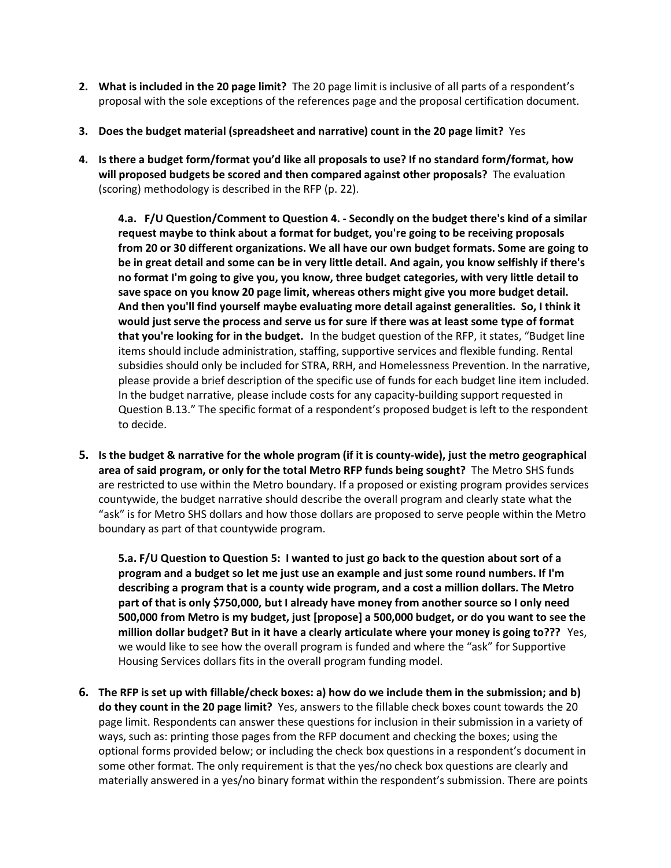- **2. What is included in the 20 page limit?** The 20 page limit is inclusive of all parts of a respondent's proposal with the sole exceptions of the references page and the proposal certification document.
- **3. Does the budget material (spreadsheet and narrative) count in the 20 page limit?** Yes
- **4. Is there a budget form/format you'd like all proposals to use? If no standard form/format, how will proposed budgets be scored and then compared against other proposals?** The evaluation (scoring) methodology is described in the RFP (p. 22).

**4.a. F/U Question/Comment to Question 4. - Secondly on the budget there's kind of a similar request maybe to think about a format for budget, you're going to be receiving proposals from 20 or 30 different organizations. We all have our own budget formats. Some are going to be in great detail and some can be in very little detail. And again, you know selfishly if there's no format I'm going to give you, you know, three budget categories, with very little detail to save space on you know 20 page limit, whereas others might give you more budget detail. And then you'll find yourself maybe evaluating more detail against generalities. So, I think it would just serve the process and serve us for sure if there was at least some type of format that you're looking for in the budget.** In the budget question of the RFP, it states, "Budget line items should include administration, staffing, supportive services and flexible funding. Rental subsidies should only be included for STRA, RRH, and Homelessness Prevention. In the narrative, please provide a brief description of the specific use of funds for each budget line item included. In the budget narrative, please include costs for any capacity-building support requested in Question B.13." The specific format of a respondent's proposed budget is left to the respondent to decide.

**5. Is the budget & narrative for the whole program (if it is county-wide), just the metro geographical area of said program, or only for the total Metro RFP funds being sought?** The Metro SHS funds are restricted to use within the Metro boundary. If a proposed or existing program provides services countywide, the budget narrative should describe the overall program and clearly state what the "ask" is for Metro SHS dollars and how those dollars are proposed to serve people within the Metro boundary as part of that countywide program.

**5.a. F/U Question to Question 5: I wanted to just go back to the question about sort of a program and a budget so let me just use an example and just some round numbers. If I'm describing a program that is a county wide program, and a cost a million dollars. The Metro part of that is only \$750,000, but I already have money from another source so I only need 500,000 from Metro is my budget, just [propose] a 500,000 budget, or do you want to see the million dollar budget? But in it have a clearly articulate where your money is going to???** Yes, we would like to see how the overall program is funded and where the "ask" for Supportive Housing Services dollars fits in the overall program funding model.

**6. The RFP is set up with fillable/check boxes: a) how do we include them in the submission; and b) do they count in the 20 page limit?** Yes, answers to the fillable check boxes count towards the 20 page limit. Respondents can answer these questions for inclusion in their submission in a variety of ways, such as: printing those pages from the RFP document and checking the boxes; using the optional forms provided below; or including the check box questions in a respondent's document in some other format. The only requirement is that the yes/no check box questions are clearly and materially answered in a yes/no binary format within the respondent's submission. There are points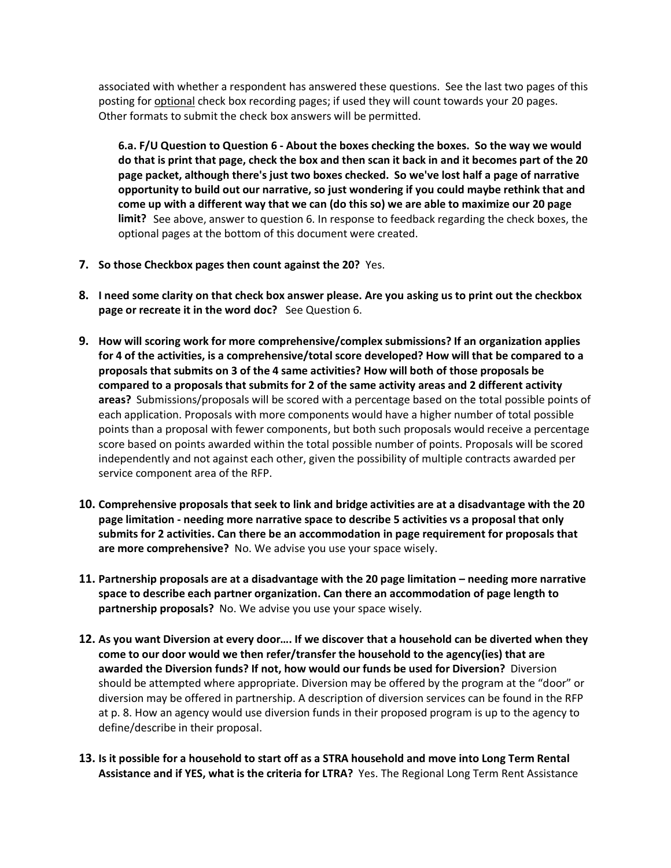associated with whether a respondent has answered these questions. See the last two pages of this posting for optional check box recording pages; if used they will count towards your 20 pages. Other formats to submit the check box answers will be permitted.

**6.a. F/U Question to Question 6 - About the boxes checking the boxes. So the way we would do that is print that page, check the box and then scan it back in and it becomes part of the 20 page packet, although there's just two boxes checked. So we've lost half a page of narrative opportunity to build out our narrative, so just wondering if you could maybe rethink that and come up with a different way that we can (do this so) we are able to maximize our 20 page limit?** See above, answer to question 6. In response to feedback regarding the check boxes, the optional pages at the bottom of this document were created.

- **7. So those Checkbox pages then count against the 20?** Yes.
- **8. I need some clarity on that check box answer please. Are you asking us to print out the checkbox page or recreate it in the word doc?** See Question 6.
- **9. How will scoring work for more comprehensive/complex submissions? If an organization applies for 4 of the activities, is a comprehensive/total score developed? How will that be compared to a proposals that submits on 3 of the 4 same activities? How will both of those proposals be compared to a proposals that submits for 2 of the same activity areas and 2 different activity areas?** Submissions/proposals will be scored with a percentage based on the total possible points of each application. Proposals with more components would have a higher number of total possible points than a proposal with fewer components, but both such proposals would receive a percentage score based on points awarded within the total possible number of points. Proposals will be scored independently and not against each other, given the possibility of multiple contracts awarded per service component area of the RFP.
- **10. Comprehensive proposals that seek to link and bridge activities are at a disadvantage with the 20 page limitation - needing more narrative space to describe 5 activities vs a proposal that only submits for 2 activities. Can there be an accommodation in page requirement for proposals that are more comprehensive?** No. We advise you use your space wisely.
- **11. Partnership proposals are at a disadvantage with the 20 page limitation needing more narrative space to describe each partner organization. Can there an accommodation of page length to partnership proposals?** No. We advise you use your space wisely.
- **12. As you want Diversion at every door…. If we discover that a household can be diverted when they come to our door would we then refer/transfer the household to the agency(ies) that are awarded the Diversion funds? If not, how would our funds be used for Diversion?** Diversion should be attempted where appropriate. Diversion may be offered by the program at the "door" or diversion may be offered in partnership. A description of diversion services can be found in the RFP at p. 8. How an agency would use diversion funds in their proposed program is up to the agency to define/describe in their proposal.
- **13. Is it possible for a household to start off as a STRA household and move into Long Term Rental Assistance and if YES, what is the criteria for LTRA?** Yes. The Regional Long Term Rent Assistance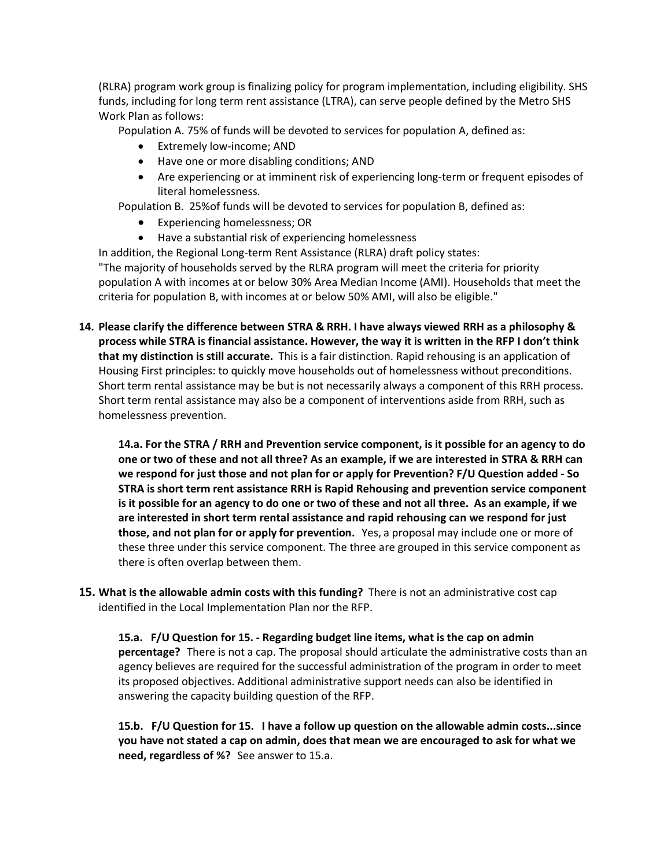(RLRA) program work group is finalizing policy for program implementation, including eligibility. SHS funds, including for long term rent assistance (LTRA), can serve people defined by the Metro SHS Work Plan as follows:

Population A. 75% of funds will be devoted to services for population A, defined as:

- Extremely low-income; AND
- Have one or more disabling conditions; AND
- Are experiencing or at imminent risk of experiencing long-term or frequent episodes of literal homelessness.

Population B. 25%of funds will be devoted to services for population B, defined as:

- Experiencing homelessness; OR
- Have a substantial risk of experiencing homelessness

In addition, the Regional Long-term Rent Assistance (RLRA) draft policy states: "The majority of households served by the RLRA program will meet the criteria for priority population A with incomes at or below 30% Area Median Income (AMI). Households that meet the criteria for population B, with incomes at or below 50% AMI, will also be eligible."

**14. Please clarify the difference between STRA & RRH. I have always viewed RRH as a philosophy & process while STRA is financial assistance. However, the way it is written in the RFP I don't think that my distinction is still accurate.** This is a fair distinction. Rapid rehousing is an application of Housing First principles: to quickly move households out of homelessness without preconditions. Short term rental assistance may be but is not necessarily always a component of this RRH process. Short term rental assistance may also be a component of interventions aside from RRH, such as homelessness prevention.

**14.a. For the STRA / RRH and Prevention service component, is it possible for an agency to do one or two of these and not all three? As an example, if we are interested in STRA & RRH can we respond for just those and not plan for or apply for Prevention? F/U Question added - So STRA is short term rent assistance RRH is Rapid Rehousing and prevention service component is it possible for an agency to do one or two of these and not all three. As an example, if we are interested in short term rental assistance and rapid rehousing can we respond for just those, and not plan for or apply for prevention.** Yes, a proposal may include one or more of these three under this service component. The three are grouped in this service component as there is often overlap between them.

**15. What is the allowable admin costs with this funding?** There is not an administrative cost cap identified in the Local Implementation Plan nor the RFP.

**15.a. F/U Question for 15. - Regarding budget line items, what is the cap on admin percentage?** There is not a cap. The proposal should articulate the administrative costs than an agency believes are required for the successful administration of the program in order to meet its proposed objectives. Additional administrative support needs can also be identified in answering the capacity building question of the RFP.

**15.b. F/U Question for 15. I have a follow up question on the allowable admin costs...since you have not stated a cap on admin, does that mean we are encouraged to ask for what we need, regardless of %?** See answer to 15.a.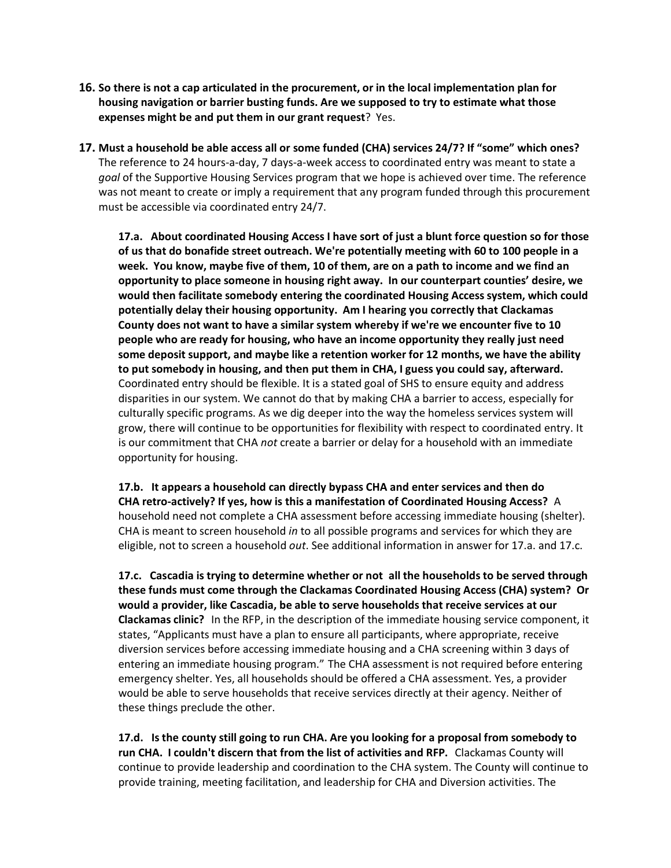- **16. So there is not a cap articulated in the procurement, or in the local implementation plan for housing navigation or barrier busting funds. Are we supposed to try to estimate what those expenses might be and put them in our grant request**? Yes.
- **17. Must a household be able access all or some funded (CHA) services 24/7? If "some" which ones?**  The reference to 24 hours-a-day, 7 days-a-week access to coordinated entry was meant to state a *goal* of the Supportive Housing Services program that we hope is achieved over time. The reference was not meant to create or imply a requirement that any program funded through this procurement must be accessible via coordinated entry 24/7.

**17.a. About coordinated Housing Access I have sort of just a blunt force question so for those of us that do bonafide street outreach. We're potentially meeting with 60 to 100 people in a week. You know, maybe five of them, 10 of them, are on a path to income and we find an opportunity to place someone in housing right away. In our counterpart counties' desire, we would then facilitate somebody entering the coordinated Housing Access system, which could potentially delay their housing opportunity. Am I hearing you correctly that Clackamas County does not want to have a similar system whereby if we're we encounter five to 10 people who are ready for housing, who have an income opportunity they really just need some deposit support, and maybe like a retention worker for 12 months, we have the ability to put somebody in housing, and then put them in CHA, I guess you could say, afterward.** Coordinated entry should be flexible. It is a stated goal of SHS to ensure equity and address disparities in our system. We cannot do that by making CHA a barrier to access, especially for culturally specific programs. As we dig deeper into the way the homeless services system will grow, there will continue to be opportunities for flexibility with respect to coordinated entry. It is our commitment that CHA *not* create a barrier or delay for a household with an immediate opportunity for housing.

**17.b. It appears a household can directly bypass CHA and enter services and then do CHA retro-actively? If yes, how is this a manifestation of Coordinated Housing Access?** A household need not complete a CHA assessment before accessing immediate housing (shelter). CHA is meant to screen household *in* to all possible programs and services for which they are eligible, not to screen a household *out*. See additional information in answer for 17.a. and 17.c.

**17.c. Cascadia is trying to determine whether or not all the households to be served through these funds must come through the Clackamas Coordinated Housing Access (CHA) system? Or would a provider, like Cascadia, be able to serve households that receive services at our Clackamas clinic?** In the RFP, in the description of the immediate housing service component, it states, "Applicants must have a plan to ensure all participants, where appropriate, receive diversion services before accessing immediate housing and a CHA screening within 3 days of entering an immediate housing program." The CHA assessment is not required before entering emergency shelter. Yes, all households should be offered a CHA assessment. Yes, a provider would be able to serve households that receive services directly at their agency. Neither of these things preclude the other.

**17.d. Is the county still going to run CHA. Are you looking for a proposal from somebody to run CHA. I couldn't discern that from the list of activities and RFP.** Clackamas County will continue to provide leadership and coordination to the CHA system. The County will continue to provide training, meeting facilitation, and leadership for CHA and Diversion activities. The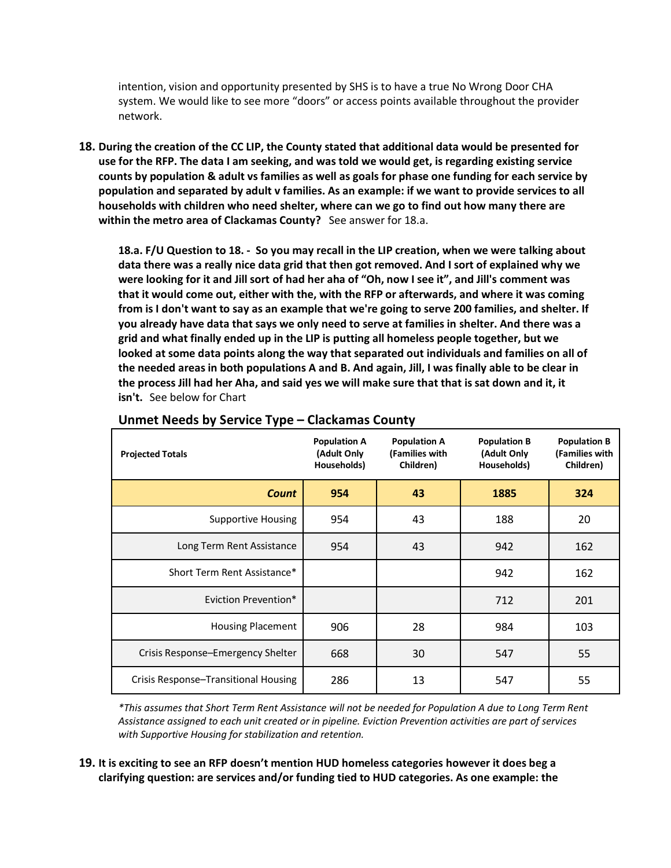intention, vision and opportunity presented by SHS is to have a true No Wrong Door CHA system. We would like to see more "doors" or access points available throughout the provider network.

**18. During the creation of the CC LIP, the County stated that additional data would be presented for use for the RFP. The data I am seeking, and was told we would get, is regarding existing service counts by population & adult vs families as well as goals for phase one funding for each service by population and separated by adult v families. As an example: if we want to provide services to all households with children who need shelter, where can we go to find out how many there are within the metro area of Clackamas County?** See answer for 18.a.

**18.a. F/U Question to 18. - So you may recall in the LIP creation, when we were talking about data there was a really nice data grid that then got removed. And I sort of explained why we were looking for it and Jill sort of had her aha of "Oh, now I see it", and Jill's comment was that it would come out, either with the, with the RFP or afterwards, and where it was coming from is I don't want to say as an example that we're going to serve 200 families, and shelter. If you already have data that says we only need to serve at families in shelter. And there was a grid and what finally ended up in the LIP is putting all homeless people together, but we looked at some data points along the way that separated out individuals and families on all of the needed areas in both populations A and B. And again, Jill, I was finally able to be clear in the process Jill had her Aha, and said yes we will make sure that that is sat down and it, it isn't.** See below for Chart

| <b>Projected Totals</b>              | <b>Population A</b><br>(Adult Only<br>Households) | <b>Population A</b><br>(Families with<br>Children) | <b>Population B</b><br>(Adult Only<br>Households) | <b>Population B</b><br>(Families with<br>Children) |
|--------------------------------------|---------------------------------------------------|----------------------------------------------------|---------------------------------------------------|----------------------------------------------------|
| <b>Count</b>                         | 954                                               | 43                                                 | 1885                                              | 324                                                |
| <b>Supportive Housing</b>            | 954                                               | 43                                                 | 188                                               | 20                                                 |
| Long Term Rent Assistance            | 954                                               | 43                                                 | 942                                               | 162                                                |
| Short Term Rent Assistance*          |                                                   |                                                    | 942                                               | 162                                                |
| Eviction Prevention*                 |                                                   |                                                    | 712                                               | 201                                                |
| <b>Housing Placement</b>             | 906                                               | 28                                                 | 984                                               | 103                                                |
| Crisis Response–Emergency Shelter    | 668                                               | 30                                                 | 547                                               | 55                                                 |
| Crisis Response-Transitional Housing | 286                                               | 13                                                 | 547                                               | 55                                                 |

#### **Unmet Needs by Service Type – Clackamas County**

*\*This assumes that Short Term Rent Assistance will not be needed for Population A due to Long Term Rent Assistance assigned to each unit created or in pipeline. Eviction Prevention activities are part of services with Supportive Housing for stabilization and retention.*

#### **19. It is exciting to see an RFP doesn't mention HUD homeless categories however it does beg a clarifying question: are services and/or funding tied to HUD categories. As one example: the**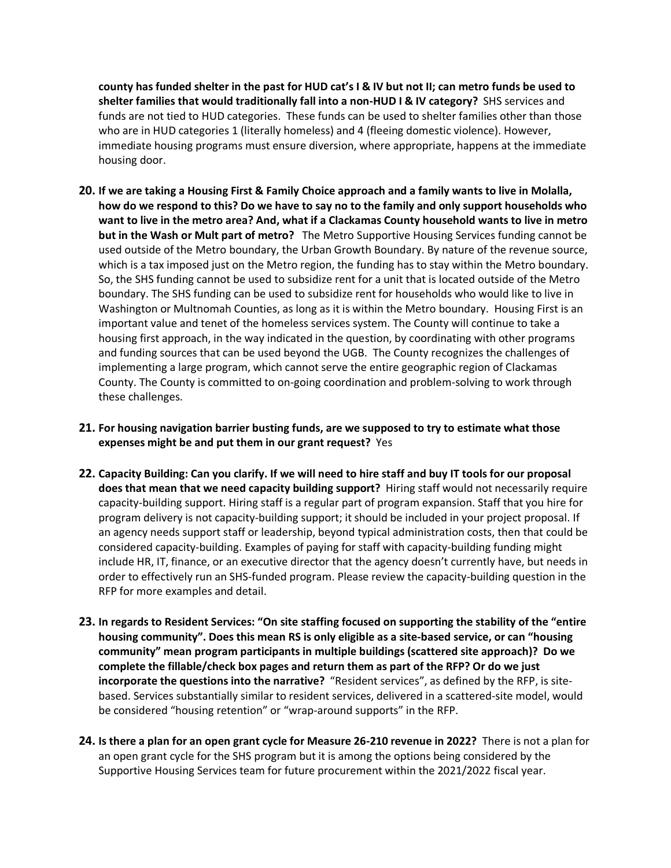**county has funded shelter in the past for HUD cat's I & IV but not II; can metro funds be used to shelter families that would traditionally fall into a non-HUD I & IV category?** SHS services and funds are not tied to HUD categories. These funds can be used to shelter families other than those who are in HUD categories 1 (literally homeless) and 4 (fleeing domestic violence). However, immediate housing programs must ensure diversion, where appropriate, happens at the immediate housing door.

- **20. If we are taking a Housing First & Family Choice approach and a family wants to live in Molalla, how do we respond to this? Do we have to say no to the family and only support households who want to live in the metro area? And, what if a Clackamas County household wants to live in metro but in the Wash or Mult part of metro?** The Metro Supportive Housing Services funding cannot be used outside of the Metro boundary, the Urban Growth Boundary. By nature of the revenue source, which is a tax imposed just on the Metro region, the funding has to stay within the Metro boundary. So, the SHS funding cannot be used to subsidize rent for a unit that is located outside of the Metro boundary. The SHS funding can be used to subsidize rent for households who would like to live in Washington or Multnomah Counties, as long as it is within the Metro boundary. Housing First is an important value and tenet of the homeless services system. The County will continue to take a housing first approach, in the way indicated in the question, by coordinating with other programs and funding sources that can be used beyond the UGB. The County recognizes the challenges of implementing a large program, which cannot serve the entire geographic region of Clackamas County. The County is committed to on-going coordination and problem-solving to work through these challenges.
- **21. For housing navigation barrier busting funds, are we supposed to try to estimate what those expenses might be and put them in our grant request?** Yes
- **22. Capacity Building: Can you clarify. If we will need to hire staff and buy IT tools for our proposal does that mean that we need capacity building support?** Hiring staff would not necessarily require capacity-building support. Hiring staff is a regular part of program expansion. Staff that you hire for program delivery is not capacity-building support; it should be included in your project proposal. If an agency needs support staff or leadership, beyond typical administration costs, then that could be considered capacity-building. Examples of paying for staff with capacity-building funding might include HR, IT, finance, or an executive director that the agency doesn't currently have, but needs in order to effectively run an SHS-funded program. Please review the capacity-building question in the RFP for more examples and detail.
- **23. In regards to Resident Services: "On site staffing focused on supporting the stability of the "entire housing community". Does this mean RS is only eligible as a site-based service, or can "housing community" mean program participants in multiple buildings (scattered site approach)? Do we complete the fillable/check box pages and return them as part of the RFP? Or do we just incorporate the questions into the narrative?** "Resident services", as defined by the RFP, is sitebased. Services substantially similar to resident services, delivered in a scattered-site model, would be considered "housing retention" or "wrap-around supports" in the RFP.
- **24. Is there a plan for an open grant cycle for Measure 26-210 revenue in 2022?** There is not a plan for an open grant cycle for the SHS program but it is among the options being considered by the Supportive Housing Services team for future procurement within the 2021/2022 fiscal year.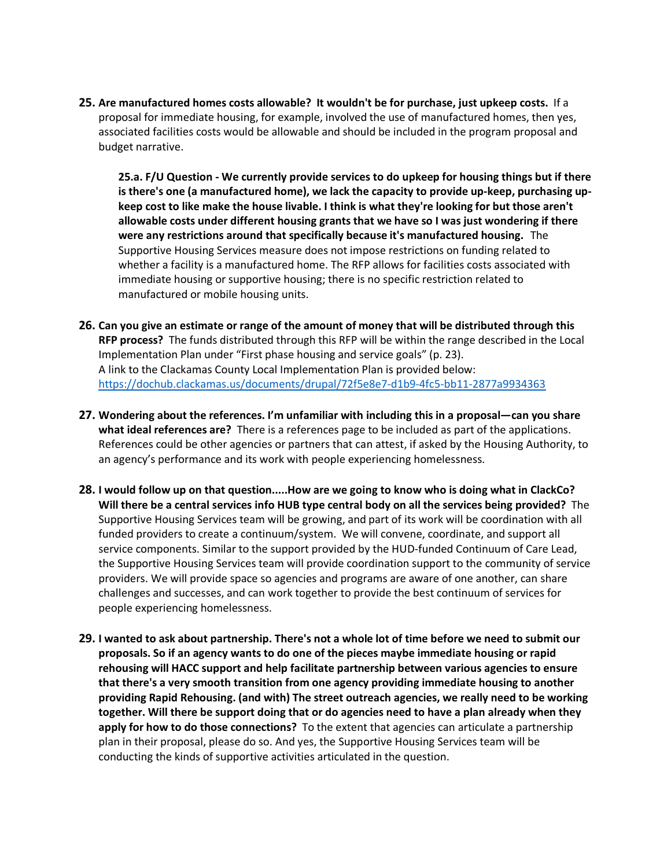**25. Are manufactured homes costs allowable? It wouldn't be for purchase, just upkeep costs.** If a proposal for immediate housing, for example, involved the use of manufactured homes, then yes, associated facilities costs would be allowable and should be included in the program proposal and budget narrative.

**25.a. F/U Question - We currently provide services to do upkeep for housing things but if there is there's one (a manufactured home), we lack the capacity to provide up-keep, purchasing upkeep cost to like make the house livable. I think is what they're looking for but those aren't allowable costs under different housing grants that we have so I was just wondering if there were any restrictions around that specifically because it's manufactured housing.** The Supportive Housing Services measure does not impose restrictions on funding related to whether a facility is a manufactured home. The RFP allows for facilities costs associated with immediate housing or supportive housing; there is no specific restriction related to manufactured or mobile housing units.

- **26. Can you give an estimate or range of the amount of money that will be distributed through this RFP process?** The funds distributed through this RFP will be within the range described in the Local Implementation Plan under "First phase housing and service goals" (p. 23). A link to the Clackamas County Local Implementation Plan is provided below: <https://dochub.clackamas.us/documents/drupal/72f5e8e7-d1b9-4fc5-bb11-2877a9934363>
- **27. Wondering about the references. I'm unfamiliar with including this in a proposal—can you share what ideal references are?** There is a references page to be included as part of the applications. References could be other agencies or partners that can attest, if asked by the Housing Authority, to an agency's performance and its work with people experiencing homelessness.
- **28. I would follow up on that question.....How are we going to know who is doing what in ClackCo? Will there be a central services info HUB type central body on all the services being provided?** The Supportive Housing Services team will be growing, and part of its work will be coordination with all funded providers to create a continuum/system. We will convene, coordinate, and support all service components. Similar to the support provided by the HUD-funded Continuum of Care Lead, the Supportive Housing Services team will provide coordination support to the community of service providers. We will provide space so agencies and programs are aware of one another, can share challenges and successes, and can work together to provide the best continuum of services for people experiencing homelessness.
- **29. I wanted to ask about partnership. There's not a whole lot of time before we need to submit our proposals. So if an agency wants to do one of the pieces maybe immediate housing or rapid rehousing will HACC support and help facilitate partnership between various agencies to ensure that there's a very smooth transition from one agency providing immediate housing to another providing Rapid Rehousing. (and with) The street outreach agencies, we really need to be working together. Will there be support doing that or do agencies need to have a plan already when they apply for how to do those connections?** To the extent that agencies can articulate a partnership plan in their proposal, please do so. And yes, the Supportive Housing Services team will be conducting the kinds of supportive activities articulated in the question.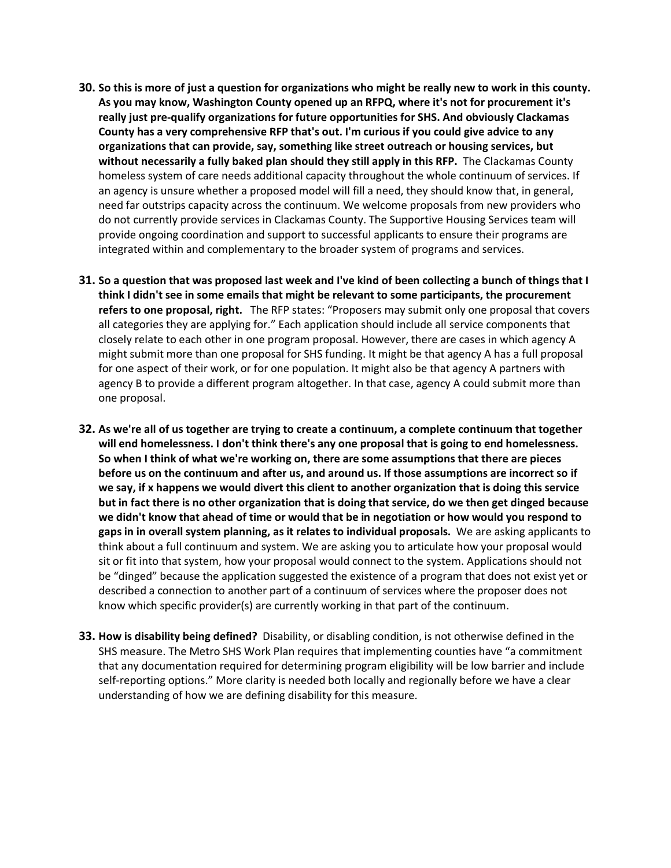- **30. So this is more of just a question for organizations who might be really new to work in this county. As you may know, Washington County opened up an RFPQ, where it's not for procurement it's really just pre-qualify organizations for future opportunities for SHS. And obviously Clackamas County has a very comprehensive RFP that's out. I'm curious if you could give advice to any organizations that can provide, say, something like street outreach or housing services, but without necessarily a fully baked plan should they still apply in this RFP.** The Clackamas County homeless system of care needs additional capacity throughout the whole continuum of services. If an agency is unsure whether a proposed model will fill a need, they should know that, in general, need far outstrips capacity across the continuum. We welcome proposals from new providers who do not currently provide services in Clackamas County. The Supportive Housing Services team will provide ongoing coordination and support to successful applicants to ensure their programs are integrated within and complementary to the broader system of programs and services.
- **31. So a question that was proposed last week and I've kind of been collecting a bunch of things that I think I didn't see in some emails that might be relevant to some participants, the procurement refers to one proposal, right.** The RFP states: "Proposers may submit only one proposal that covers all categories they are applying for." Each application should include all service components that closely relate to each other in one program proposal. However, there are cases in which agency A might submit more than one proposal for SHS funding. It might be that agency A has a full proposal for one aspect of their work, or for one population. It might also be that agency A partners with agency B to provide a different program altogether. In that case, agency A could submit more than one proposal.
- **32. As we're all of us together are trying to create a continuum, a complete continuum that together will end homelessness. I don't think there's any one proposal that is going to end homelessness. So when I think of what we're working on, there are some assumptions that there are pieces before us on the continuum and after us, and around us. If those assumptions are incorrect so if we say, if x happens we would divert this client to another organization that is doing this service but in fact there is no other organization that is doing that service, do we then get dinged because we didn't know that ahead of time or would that be in negotiation or how would you respond to gaps in in overall system planning, as it relates to individual proposals.** We are asking applicants to think about a full continuum and system. We are asking you to articulate how your proposal would sit or fit into that system, how your proposal would connect to the system. Applications should not be "dinged" because the application suggested the existence of a program that does not exist yet or described a connection to another part of a continuum of services where the proposer does not know which specific provider(s) are currently working in that part of the continuum.
- **33. How is disability being defined?** Disability, or disabling condition, is not otherwise defined in the SHS measure. The Metro SHS Work Plan requires that implementing counties have "a commitment that any documentation required for determining program eligibility will be low barrier and include self-reporting options." More clarity is needed both locally and regionally before we have a clear understanding of how we are defining disability for this measure.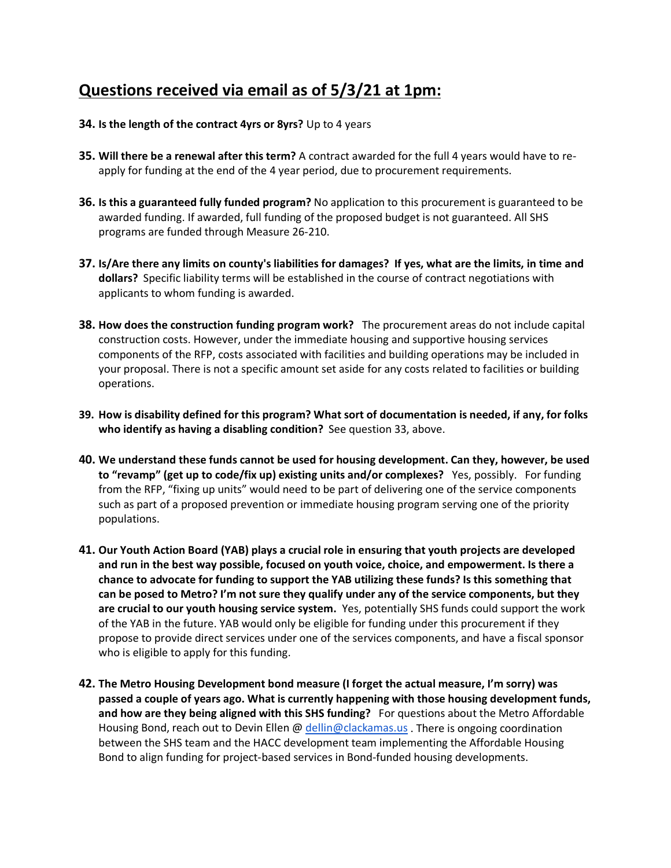## **Questions received via email as of 5/3/21 at 1pm:**

#### **34. Is the length of the contract 4yrs or 8yrs?** Up to 4 years

- **35. Will there be a renewal after this term?** A contract awarded for the full 4 years would have to reapply for funding at the end of the 4 year period, due to procurement requirements.
- **36. Is this a guaranteed fully funded program?** No application to this procurement is guaranteed to be awarded funding. If awarded, full funding of the proposed budget is not guaranteed. All SHS programs are funded through Measure 26-210.
- **37. Is/Are there any limits on county's liabilities for damages? If yes, what are the limits, in time and dollars?** Specific liability terms will be established in the course of contract negotiations with applicants to whom funding is awarded.
- **38. How does the construction funding program work?** The procurement areas do not include capital construction costs. However, under the immediate housing and supportive housing services components of the RFP, costs associated with facilities and building operations may be included in your proposal. There is not a specific amount set aside for any costs related to facilities or building operations.
- **39. How is disability defined for this program? What sort of documentation is needed, if any, for folks who identify as having a disabling condition?** See question 33, above.
- **40. We understand these funds cannot be used for housing development. Can they, however, be used to "revamp" (get up to code/fix up) existing units and/or complexes?** Yes, possibly. For funding from the RFP, "fixing up units" would need to be part of delivering one of the service components such as part of a proposed prevention or immediate housing program serving one of the priority populations.
- **41. Our Youth Action Board (YAB) plays a crucial role in ensuring that youth projects are developed and run in the best way possible, focused on youth voice, choice, and empowerment. Is there a chance to advocate for funding to support the YAB utilizing these funds? Is this something that can be posed to Metro? I'm not sure they qualify under any of the service components, but they are crucial to our youth housing service system.** Yes, potentially SHS funds could support the work of the YAB in the future. YAB would only be eligible for funding under this procurement if they propose to provide direct services under one of the services components, and have a fiscal sponsor who is eligible to apply for this funding.
- **42. The Metro Housing Development bond measure (I forget the actual measure, I'm sorry) was passed a couple of years ago. What is currently happening with those housing development funds, and how are they being aligned with this SHS funding?** For questions about the Metro Affordable Housing Bond, reach out to Devin Ellen @ [dellin@clackamas.us](mailto:dellin@clackamas.us) . There is ongoing coordination between the SHS team and the HACC development team implementing the Affordable Housing Bond to align funding for project-based services in Bond-funded housing developments.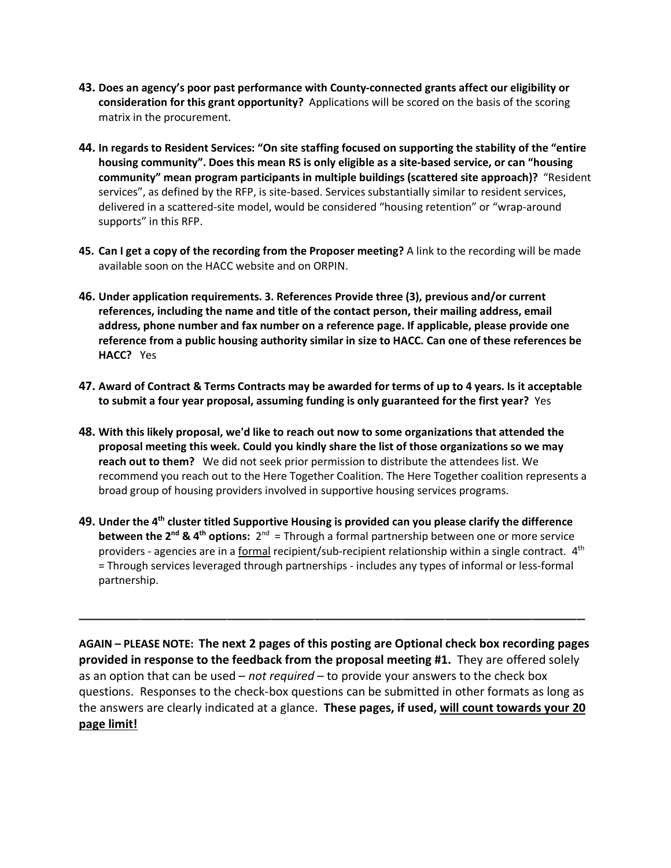- **43. Does an agency's poor past performance with County-connected grants affect our eligibility or consideration for this grant opportunity?** Applications will be scored on the basis of the scoring matrix in the procurement.
- **44. In regards to Resident Services: "On site staffing focused on supporting the stability of the "entire housing community". Does this mean RS is only eligible as a site-based service, or can "housing community" mean program participants in multiple buildings (scattered site approach)?** "Resident services", as defined by the RFP, is site-based. Services substantially similar to resident services, delivered in a scattered-site model, would be considered "housing retention" or "wrap-around supports" in this RFP.
- **45. Can I get a copy of the recording from the Proposer meeting?** A link to the recording will be made available soon on the HACC website and on ORPIN.
- **46. Under application requirements. 3. References Provide three (3), previous and/or current references, including the name and title of the contact person, their mailing address, email address, phone number and fax number on a reference page. If applicable, please provide one reference from a public housing authority similar in size to HACC. Can one of these references be HACC?** Yes
- **47. Award of Contract & Terms Contracts may be awarded for terms of up to 4 years. Is it acceptable to submit a four year proposal, assuming funding is only guaranteed for the first year?** Yes
- **48. With this likely proposal, we'd like to reach out now to some organizations that attended the proposal meeting this week. Could you kindly share the list of those organizations so we may reach out to them?** We did not seek prior permission to distribute the attendees list. We recommend you reach out to the Here Together Coalition. The Here Together coalition represents a broad group of housing providers involved in supportive housing services programs.
- **49. Under the 4th cluster titled Supportive Housing is provided can you please clarify the difference between the 2<sup>nd</sup> & 4<sup>th</sup> options:** 2<sup>nd</sup> = Through a formal partnership between one or more service providers - agencies are in a formal recipient/sub-recipient relationship within a single contract.  $4<sup>th</sup>$ = Through services leveraged through partnerships - includes any types of informal or less-formal partnership.

\_\_\_\_\_\_\_\_\_\_\_\_\_\_\_\_\_\_\_\_\_\_\_\_\_\_\_\_\_\_\_\_\_\_\_\_\_\_\_\_\_\_\_\_\_\_\_\_\_\_\_\_\_\_\_\_\_\_

**AGAIN – PLEASE NOTE: The next 2 pages of this posting are Optional check box recording pages provided in response to the feedback from the proposal meeting #1.** They are offered solely as an option that can be used – *not required* – to provide your answers to the check box questions. Responses to the check-box questions can be submitted in other formats as long as the answers are clearly indicated at a glance. **These pages, if used, will count towards your 20 page limit!**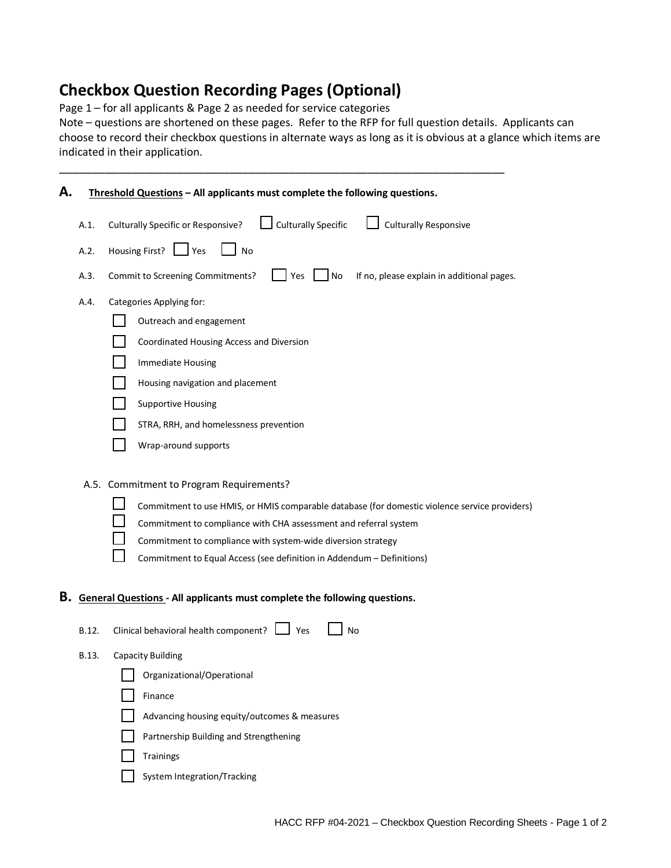### **Checkbox Question Recording Pages (Optional)**

Page 1 – for all applicants & Page 2 as needed for service categories

Note – questions are shortened on these pages. Refer to the RFP for full question details. Applicants can choose to record their checkbox questions in alternate ways as long as it is obvious at a glance which items are indicated in their application.

\_\_\_\_\_\_\_\_\_\_\_\_\_\_\_\_\_\_\_\_\_\_\_\_\_\_\_\_\_\_\_\_\_\_\_\_\_\_\_\_\_\_\_\_\_\_\_\_\_\_\_\_\_\_\_\_\_\_\_\_\_\_\_\_\_\_\_\_

| А. |       | Threshold Questions - All applicants must complete the following questions.                                                                                                                                                                                                                                                                            |  |  |  |  |
|----|-------|--------------------------------------------------------------------------------------------------------------------------------------------------------------------------------------------------------------------------------------------------------------------------------------------------------------------------------------------------------|--|--|--|--|
|    | A.1.  | <b>Culturally Specific</b><br><b>Culturally Responsive</b><br><b>Culturally Specific or Responsive?</b>                                                                                                                                                                                                                                                |  |  |  |  |
|    | A.2.  | Housing First?   Yes<br><b>No</b>                                                                                                                                                                                                                                                                                                                      |  |  |  |  |
|    | A.3.  | $\overline{\phantom{a}}$ No<br>Commit to Screening Commitments?<br>Yes<br>If no, please explain in additional pages.                                                                                                                                                                                                                                   |  |  |  |  |
|    | A.4.  | Categories Applying for:                                                                                                                                                                                                                                                                                                                               |  |  |  |  |
|    |       | Outreach and engagement                                                                                                                                                                                                                                                                                                                                |  |  |  |  |
|    |       | Coordinated Housing Access and Diversion                                                                                                                                                                                                                                                                                                               |  |  |  |  |
|    |       | Immediate Housing                                                                                                                                                                                                                                                                                                                                      |  |  |  |  |
|    |       | Housing navigation and placement                                                                                                                                                                                                                                                                                                                       |  |  |  |  |
|    |       | <b>Supportive Housing</b>                                                                                                                                                                                                                                                                                                                              |  |  |  |  |
|    |       | STRA, RRH, and homelessness prevention                                                                                                                                                                                                                                                                                                                 |  |  |  |  |
|    |       | Wrap-around supports                                                                                                                                                                                                                                                                                                                                   |  |  |  |  |
|    |       | A.5. Commitment to Program Requirements?<br>Commitment to use HMIS, or HMIS comparable database (for domestic violence service providers)<br>Commitment to compliance with CHA assessment and referral system<br>Commitment to compliance with system-wide diversion strategy<br>Commitment to Equal Access (see definition in Addendum - Definitions) |  |  |  |  |
| в. |       | <b>General Questions - All applicants must complete the following questions.</b>                                                                                                                                                                                                                                                                       |  |  |  |  |
|    | B.12. | Clinical behavioral health component?<br>  Yes<br>No                                                                                                                                                                                                                                                                                                   |  |  |  |  |
|    | B.13. | <b>Capacity Building</b>                                                                                                                                                                                                                                                                                                                               |  |  |  |  |
|    |       | Organizational/Operational                                                                                                                                                                                                                                                                                                                             |  |  |  |  |
|    |       | Finance                                                                                                                                                                                                                                                                                                                                                |  |  |  |  |
|    |       | Advancing housing equity/outcomes & measures                                                                                                                                                                                                                                                                                                           |  |  |  |  |
|    |       | Partnership Building and Strengthening                                                                                                                                                                                                                                                                                                                 |  |  |  |  |
|    |       | <b>Trainings</b>                                                                                                                                                                                                                                                                                                                                       |  |  |  |  |
|    |       | System Integration/Tracking                                                                                                                                                                                                                                                                                                                            |  |  |  |  |